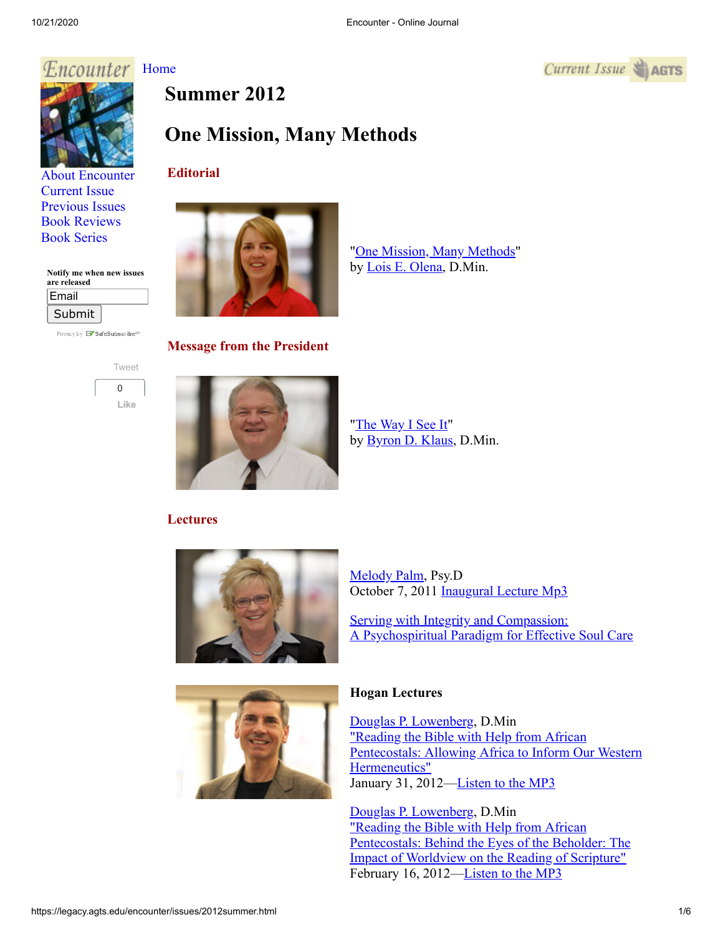## Encounter [Home](http://legacy.agts.edu/encounter/index.htm)





[About Encounter](http://legacy.agts.edu/encounter/about.html) [Current Issue](http://legacy.agts.edu/encounter/current.html) [Previous Issues](http://legacy.agts.edu/encounter/previous.html) [Book Reviews](http://legacy.agts.edu/encounter/book_reviews.html) [Book Series](http://legacy.agts.edu/encounter/resources.html)

### **Notify me when new issues**

| are released |  |
|--------------|--|
| Email        |  |
| Submit       |  |

Privacy by **EV** SafeSubscribe<sup>sM</sup>



# **Summer 2012**

## **One Mission, Many Methods**

#### **Editorial**



**Message from the President**

["The Way I See It](http://legacy.agts.edu/encounter/articles/2012summer/klaus.htm)" by **Byron D. Klaus**, D.Min.

## **Lectures**



[Melody Palm](http://legacy.agts.edu/faculty/palm.html), Psy.D October 7, 2011 [Inaugural Lecture Mp3](https://legacy.agts.edu/resources/audio_files/2011_October_7MelodyPalm.mp3)

Serving with Integrity and Compassion: [A Psychospiritual Paradigm for Effective Soul Care](http://legacy.agts.edu/encounter/articles/2012summer/palm.htm)



#### **Hogan Lectures**

[Douglas P. Lowenberg](http://legacy.agts.edu/faculty/Lowenberg.html), D.Min "Reading the Bible with Help from African [Pentecostals: Allowing Africa to Inform Our Western](http://legacy.agts.edu/encounter/articles/2012summer/lowenberg1.htm) Hermeneutics" January 31, 2012[—Listen to the MP3](http://legacy.agts.edu/resources/audio_files/2012_31_1Lowenberg.mp3)

[Douglas P. Lowenberg](http://legacy.agts.edu/faculty/Lowenberg.html), D.Min "Reading the Bible with Help from African [Pentecostals: Behind the Eyes of the Beholder: The](http://legacy.agts.edu/encounter/articles/2012summer/lowenberg2.htm) Impact of Worldview on the Reading of Scripture" February 16, 2012[—Listen to the MP3](http://legacy.agts.edu/resources/audio_files/2012_16_2DouglasLowenberg.mp3)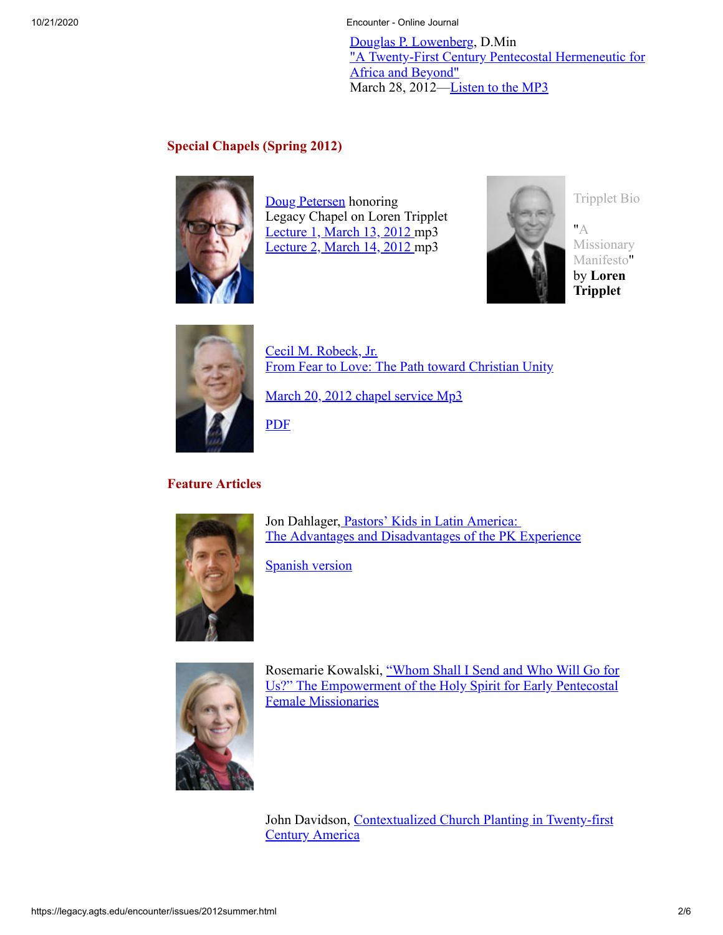10/21/2020 Encounter - Online Journal

[Douglas P. Lowenberg](http://legacy.agts.edu/faculty/Lowenberg.html), D.Min ["A Twenty-First Century Pentecostal Hermeneutic for](http://legacy.agts.edu/encounter/articles/2012summer/lowenberg3.htm) Africa and Beyond" March 28, 2012—[Listen to the MP3](http://legacy.agts.edu/resources/audio_files/2012_28_03Lowenberg.mp3)

#### **Special Chapels (Spring 2012)**



[Doug Petersen](http://religion.vanguard.edu/faculty/douglas-petersen/) honoring Legacy Chapel on Loren Tripplet [Lecture 1, March 13, 2012](http://legacy.agts.edu/encounter/articles/2012summer/2012_14_3DougPeterson.mp3) mp3 [Lecture 2, March 14, 2012](http://legacy.agts.edu/encounter/articles/2012summer/2012_14_3DougPeterson.mp3) mp3



[Tripplet Bio](http://legacy.agts.edu/encounter/articles/2012summer/Triplettbio.pdf)

"A [Missionary](http://legacy.agts.edu/encounter/articles/2012summer/Triplett_MissionaryManifesto.pdf) Manifesto" by **Loren Tripplet**



[Cecil M. Robeck, Jr.](http://www.fuller.edu/academics/faculty/cecil-robeck.aspx) [From Fear to Love: The Path toward Christian Unity](http://legacy.agts.edu/encounter/articles/2012summer/robeck.htm)

[March 20, 2012 chapel service Mp3](http://legacy.agts.edu/resources/audio_files/2012_20_3CecilRobeck_44.1_24b_128.mp3)

[PDF](http://legacy.agts.edu/encounter/articles/2012summer/Robeck_Aug12.pdf)

### **Feature Articles**



Jon Dahlager, Pastors' Kids in Latin America: [The Advantages and Disadvantages of the PK Experience](http://legacy.agts.edu/encounter/articles/2012summer/dahlager.htm)

[Spanish version](http://legacy.agts.edu/encounter/articles/2012summer/Dahlager_spanish.pdf)



[Rosemarie Kowalski, "Whom Shall I Send and Who Will Go for](http://legacy.agts.edu/encounter/articles/2012summer/kowalski.htm) Us?" The Empowerment of the Holy Spirit for Early Pentecostal Female Missionaries

[John Davidson, Contextualized Church Planting in Twenty-first](http://legacy.agts.edu/encounter/articles/2012summer/davidson.htm) **Century America**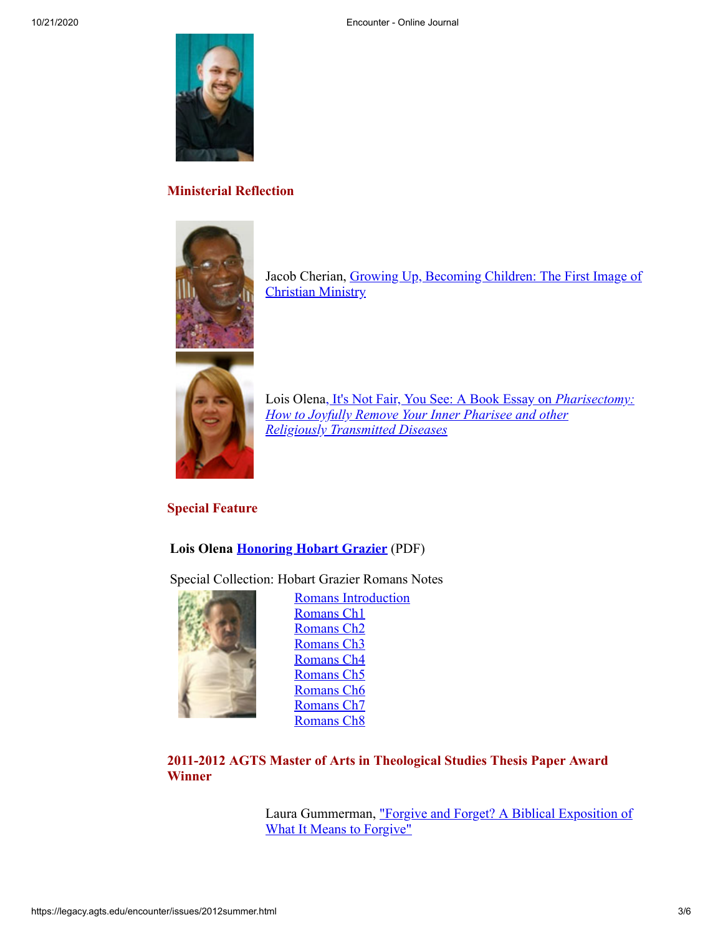

#### **Ministerial Reflection**



[Jacob Cherian, Growing Up, Becoming Children: The First Image of](http://legacy.agts.edu/encounter/articles/2012summer/cherian.htm) Christian Ministry



Lois Olena, It's Not Fair, You See: A Book Essay on *Pharisectomy: [How to Joyfully Remove Your Inner Pharisee and other](http://legacy.agts.edu/encounter/articles/2012summer/olena_ministerialreflection.htm) Religiously Transmitted Diseases*

#### **Special Feature**

#### **Lois Olena [Honoring Hobart Grazier](http://legacy.agts.edu/encounter/articles/2012summer/Grazier_Special%20Feature_Aug12.pdf)** (PDF)

Special Collection: Hobart Grazier Romans Notes



[Romans Introduction](http://legacy.agts.edu/encounter/articles/2012summer/Grazier_RomansCh_Introduction.pdf) [Romans Ch1](http://legacy.agts.edu/encounter/articles/2012summer/Grazier_RomansCh1.pdf) [Romans Ch2](http://legacy.agts.edu/encounter/articles/2012summer/Grazier_RomansCh2.pdf) [Romans Ch3](http://legacy.agts.edu/encounter/articles/2012summer/Grazier_RomansCh3.pdf) [Romans Ch4](http://legacy.agts.edu/encounter/articles/2012summer/Grazier_RomansCh4.pdf) [Romans Ch5](http://legacy.agts.edu/encounter/articles/2012summer/Grazier_RomansCh5.pdf) [Romans Ch6](http://legacy.agts.edu/encounter/articles/2012summer/Grazier_RomansCh6.pdf) [Romans Ch7](http://legacy.agts.edu/encounter/articles/2012summer/Grazier_RomansCh7.pdf) [Romans Ch8](http://legacy.agts.edu/encounter/articles/2012summer/Grazier_RomansCh8.pdf)

**2011-2012 AGTS Master of Arts in Theological Studies Thesis Paper Award Winner**

> [Laura Gummerman, "Forgive and Forget? A Biblical Exposition of](http://legacy.agts.edu/encounter/articles/2012summer/gummerman.htm) What It Means to Forgive"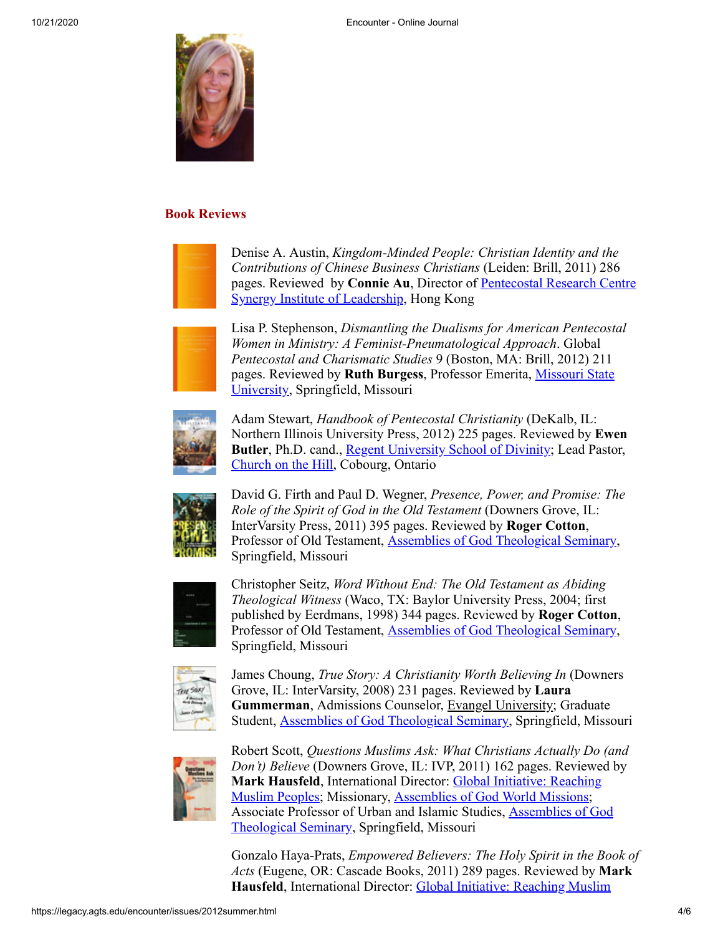

#### **Book Reviews**



Denise A. Austin, *Kingdom-Minded People: Christian Identity and the Contributions of Chinese Business Christians* (Leiden: Brill, 2011) 286 pages. Reviewed by **Connie Au**, Director of Pentecostal Research Centre **[Synergy Institute of Leadership, Hong Kong](http://www.silhk.org/engdetail/engdetailabout.html)** 



Lisa P. Stephenson, *Dismantling the Dualisms for American Pentecostal Women in Ministry: A Feminist-Pneumatological Approach*. Global *Pentecostal and Charismatic Studies* 9 (Boston, MA: Brill, 2012) 211 pages. Reviewed by **Ruth Burgess**[, Professor Emerita, Missouri State](http://www.missouristate.edu/) University, Springfield, Missouri



Adam Stewart, *Handbook of Pentecostal Christianity* (DeKalb, IL: Northern Illinois University Press, 2012) 225 pages. Reviewed by **Ewen Butler**, Ph.D. cand., **[Regent University School of Divinity](http://www.regent.edu/acad/schdiv/home.shtml?r=home.cfm)**; Lead Pastor, [Church on the Hill,](http://churchonthehillonline.com/) Cobourg, Ontario



David G. Firth and Paul D. Wegner, *Presence, Power, and Promise: The Role of the Spirit of God in the Old Testament* (Downers Grove, IL: InterVarsity Press, 2011) 395 pages. Reviewed by **Roger Cotton**, Professor of Old Testament, [Assemblies of God Theological Seminary,](http://legacy.agts.edu/faculty/cotton.html) Springfield, Missouri



Christopher Seitz, *Word Without End: The Old Testament as Abiding Theological Witness* (Waco, TX: Baylor University Press, 2004; first published by Eerdmans, 1998) 344 pages. Reviewed by **Roger Cotton**, Professor of Old Testament, [Assemblies of God Theological Seminary,](http://legacy.agts.edu/faculty/cotton.html) Springfield, Missouri



James Choung, *True Story: A Christianity Worth Believing In* (Downers Grove, IL: InterVarsity, 2008) 231 pages. Reviewed by **Laura Gummerman**, Admissions Counselor, Evangel University; Graduate Student, [Assemblies of God Theological Seminary](http://legacy.agts.edu/index.html), Springfield, Missouri



Robert Scott, *Questions Muslims Ask: What Christians Actually Do (and Don't) Believe* (Downers Grove, IL: IVP, 2011) 162 pages. Reviewed by **Mark Hausfeld**, International Director: [Global Initiative:](http://www.globalinitiativeinfo.com/) Reaching [Muslim Peoples; Missionary, Assemblies of God World Missions;](http://www.globalinitiativeinfo.com/) [Associate Professor of Urban and Islamic Studies, Assemblies of God](http://legacy.agts.edu/faculty/hausfeld.html) Theological Seminary, Springfield, Missouri

Gonzalo Haya-Prats, *Empowered Believers: The Holy Spirit in the Book of Acts* (Eugene, OR: Cascade Books, 2011) 289 pages. Reviewed by **Mark Hausfeld**[, International Director: Global Initiative: Reaching Muslim](http://www.globalinitiativeinfo.com/)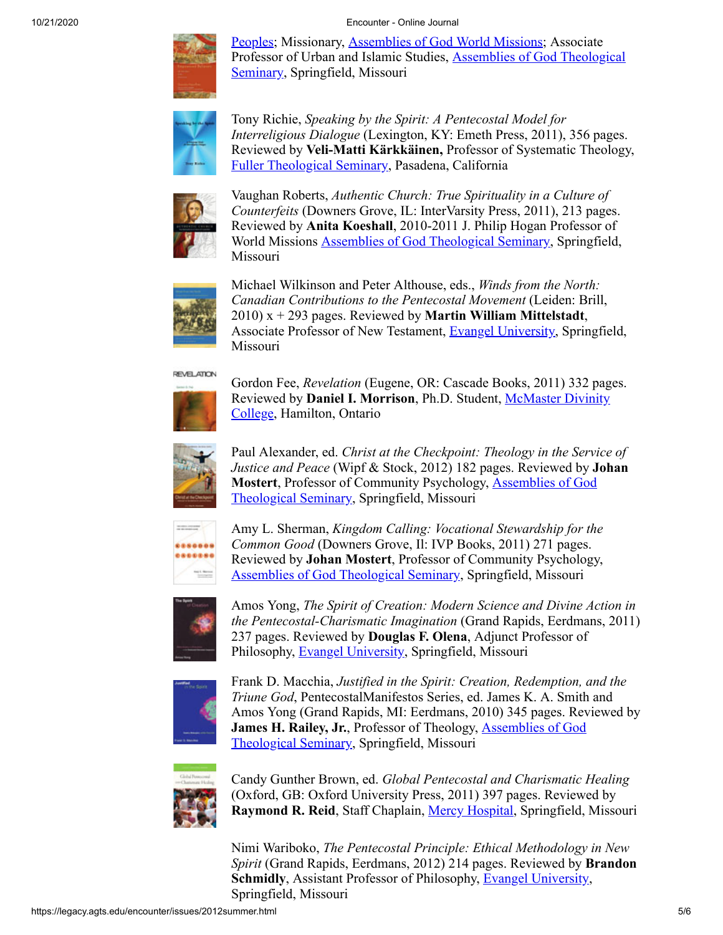#### 10/21/2020 Encounter - Online Journal



[Peoples; Missionary, Assemblies of God World Missions; Associate](http://www.globalinitiativeinfo.com/) Professor of Urban and Islamic Studies, **Assemblies of God Theological** Seminary, Springfield, Missouri



Tony Richie, *Speaking by the Spirit: A Pentecostal Model for Interreligious Dialogue* (Lexington, KY: Emeth Press, 2011), 356 pages. Reviewed by **Veli-Matti Kärkkäinen,** Professor of Systematic Theology, [Fuller Theological Seminary,](http://fuller.edu/) Pasadena, California



Vaughan Roberts, *Authentic Church: True Spirituality in a Culture of Counterfeits* (Downers Grove, IL: InterVarsity Press, 2011), 213 pages. Reviewed by **Anita Koeshall**, 2010-2011 J. Philip Hogan Professor of World Missions [Assemblies of God Theological Seminary](http://legacy.agts.edu/faculty/akoeshall.html), Springfield, Missouri



Michael Wilkinson and Peter Althouse, eds., *Winds from the North: Canadian Contributions to the Pentecostal Movement* (Leiden: Brill, 2010) x + 293 pages. Reviewed by **Martin William Mittelstadt**, Associate Professor of New Testament, [Evangel University,](http://www.evangel.edu/) Springfield, Missouri

**REVELATION** 



Gordon Fee, *Revelation* (Eugene, OR: Cascade Books, 2011) 332 pages. Reviewed by **Daniel I. Morrison**[, Ph.D. Student, McMaster Divinity](http://www.macdiv.ca/home.php) College, Hamilton, Ontario



Paul Alexander, ed. *Christ at the Checkpoint: Theology in the Service of Justice and Peace* (Wipf & Stock, 2012) 182 pages. Reviewed by **Johan Mostert**[, Professor of Community Psychology, Assemblies of God](http://legacy.agts.edu/faculty/mostert.html) Theological Seminary, Springfield, Missouri



Amy L. Sherman, *Kingdom Calling: Vocational Stewardship for the Common Good* (Downers Grove, Il: IVP Books, 2011) 271 pages. Reviewed by **Johan Mostert**, Professor of Community Psychology, [Assemblies of God Theological Seminary,](http://legacy.agts.edu/faculty/mostert.html) Springfield, Missouri



Amos Yong, *The Spirit of Creation: Modern Science and Divine Action in the Pentecostal-Charismatic Imagination* (Grand Rapids, Eerdmans, 2011) 237 pages. Reviewed by **Douglas F. Olena**, Adjunct Professor of Philosophy, [Evangel University,](http://www.evangel.edu/) Springfield, Missouri



Frank D. Macchia, *Justified in the Spirit: Creation, Redemption, and the Triune God*, PentecostalManifestos Series, ed. James K. A. Smith and Amos Yong (Grand Rapids, MI: Eerdmans, 2010) 345 pages. Reviewed by **James H. Railey, Jr.**[, Professor of Theology, Assemblies of God](http://legacy.agts.edu/faculty/railey.html) Theological Seminary, Springfield, Missouri



Candy Gunther Brown, ed. *Global Pentecostal and Charismatic Healing* (Oxford, GB: Oxford University Press, 2011) 397 pages. Reviewed by **Raymond R. Reid**, Staff Chaplain, [Mercy Hospital,](http://www.mercy.net/springfieldmo) Springfield, Missouri

Nimi Wariboko, *The Pentecostal Principle: Ethical Methodology in New Spirit* (Grand Rapids, Eerdmans, 2012) 214 pages. Reviewed by **Brandon Schmidly, Assistant Professor of Philosophy, [Evangel University](http://www.evangel.edu/),** Springfield, Missouri